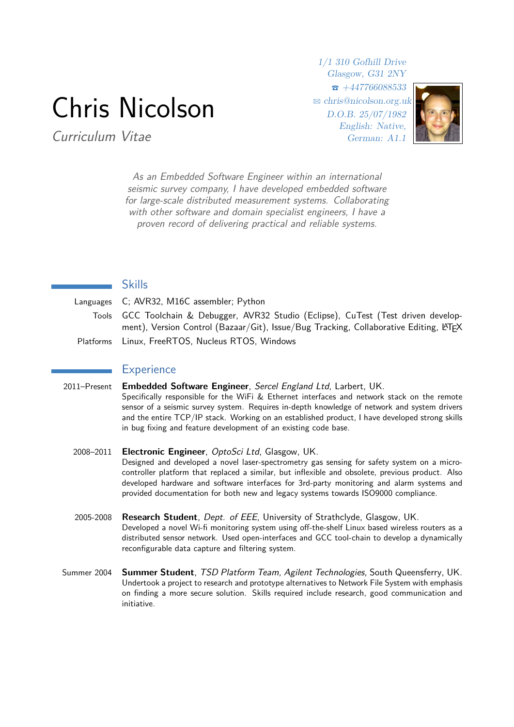# Chris Nicolson

Curriculum Vitae

1/1 310 Gofhill Drive Glasgow, G31 2NY  $\bar{a} + 447766088533$ B [chris@nicolson.org.uk](mailto:chris@nicolson.org.uk) D.O.B. 25/07/1982 English: Native, German: A1.1



As an Embedded Software Engineer within an international seismic survey company, I have developed embedded software for large-scale distributed measurement systems. Collaborating with other software and domain specialist engineers, I have a proven record of delivering practical and reliable systems.

## Skills

Languages C; AVR32, M16C assembler; Python

- Tools GCC Toolchain & Debugger, AVR32 Studio (Eclipse), CuTest (Test driven development), Version Control (Bazaar/Git), Issue/Bug Tracking, Collaborative Editing, LATEX
- Platforms Linux, FreeRTOS, Nucleus RTOS, Windows

## **Experience**

- 2011–Present **Embedded Software Engineer**, Sercel England Ltd, Larbert, UK. Specifically responsible for the WiFi & Ethernet interfaces and network stack on the remote sensor of a seismic survey system. Requires in-depth knowledge of network and system drivers and the entire TCP/IP stack. Working on an established product, I have developed strong skills in bug fixing and feature development of an existing code base.
	- 2008–2011 **Electronic Engineer**, OptoSci Ltd, Glasgow, UK. Designed and developed a novel laser-spectrometry gas sensing for safety system on a microcontroller platform that replaced a similar, but inflexible and obsolete, previous product. Also developed hardware and software interfaces for 3rd-party monitoring and alarm systems and provided documentation for both new and legacy systems towards ISO9000 compliance.
	- 2005-2008 **Research Student**, Dept. of EEE, University of Strathclyde, Glasgow, UK. Developed a novel Wi-fi monitoring system using off-the-shelf Linux based wireless routers as a distributed sensor network. Used open-interfaces and GCC tool-chain to develop a dynamically reconfigurable data capture and filtering system.
- Summer 2004 **Summer Student**, TSD Platform Team, Agilent Technologies, South Queensferry, UK. Undertook a project to research and prototype alternatives to Network File System with emphasis on finding a more secure solution. Skills required include research, good communication and initiative.